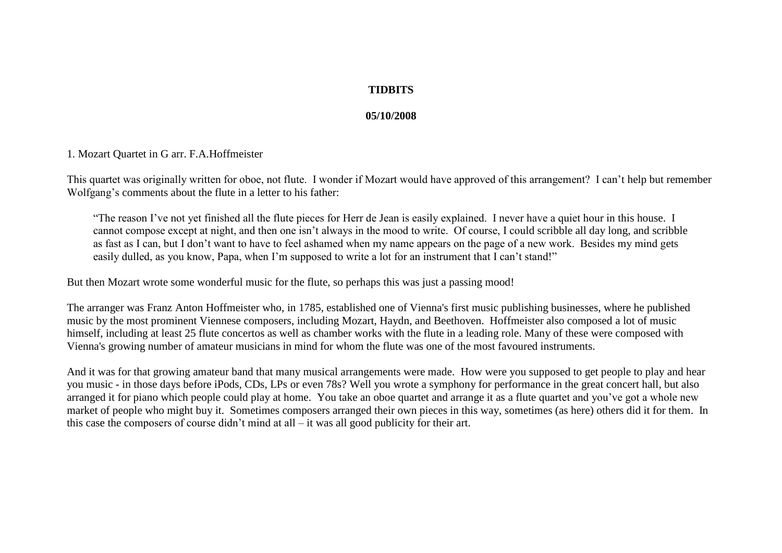# **TIDBITS**

## **05/10/2008**

### 1. Mozart Quartet in G arr. F.A.Hoffmeister

This quartet was originally written for oboe, not flute. I wonder if Mozart would have approved of this arrangement? I can't help but remember Wolfgang's comments about the flute in a letter to his father:

"The reason I've not yet finished all the flute pieces for Herr de Jean is easily explained. I never have a quiet hour in this house. I cannot compose except at night, and then one isn't always in the mood to write. Of course, I could scribble all day long, and scribble as fast as I can, but I don't want to have to feel ashamed when my name appears on the page of a new work. Besides my mind gets easily dulled, as you know, Papa, when I'm supposed to write a lot for an instrument that I can't stand!"

But then Mozart wrote some wonderful music for the flute, so perhaps this was just a passing mood!

The arranger was Franz Anton Hoffmeister who, in 1785, established one of Vienna's first music publishing businesses, where he published music by the most prominent Viennese composers, including Mozart, Haydn, and Beethoven. Hoffmeister also composed a lot of music himself, including at least 25 flute concertos as well as chamber works with the flute in a leading role. Many of these were composed with Vienna's growing number of amateur musicians in mind for whom the flute was one of the most favoured instruments.

And it was for that growing amateur band that many musical arrangements were made. How were you supposed to get people to play and hear you music - in those days before iPods, CDs, LPs or even 78s? Well you wrote a symphony for performance in the great concert hall, but also arranged it for piano which people could play at home. You take an oboe quartet and arrange it as a flute quartet and you've got a whole new market of people who might buy it. Sometimes composers arranged their own pieces in this way, sometimes (as here) others did it for them. In this case the composers of course didn't mind at all  $-$  it was all good publicity for their art.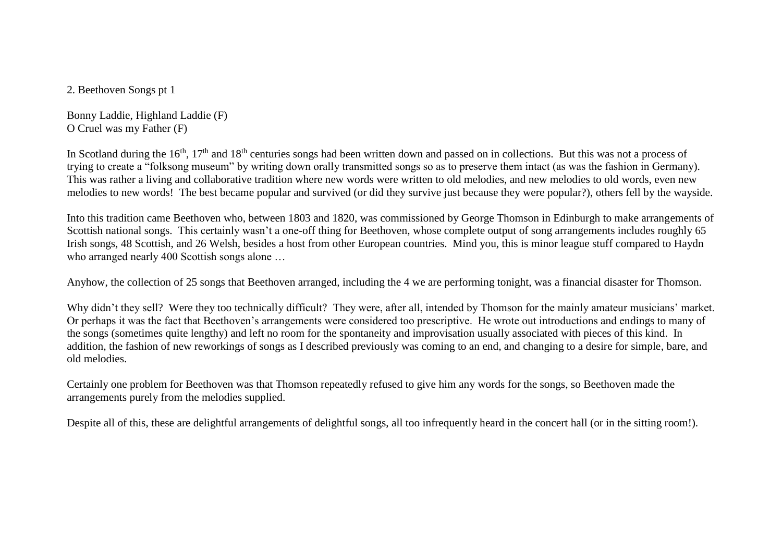2. Beethoven Songs pt 1

Bonny Laddie, Highland Laddie (F) O Cruel was my Father (F)

In Scotland during the 16<sup>th</sup>, 17<sup>th</sup> and 18<sup>th</sup> centuries songs had been written down and passed on in collections. But this was not a process of trying to create a "folksong museum" by writing down orally transmitted songs so as to preserve them intact (as was the fashion in Germany). This was rather a living and collaborative tradition where new words were written to old melodies, and new melodies to old words, even new melodies to new words! The best became popular and survived (or did they survive just because they were popular?), others fell by the wayside.

Into this tradition came Beethoven who, between 1803 and 1820, was commissioned by George Thomson in Edinburgh to make arrangements of Scottish national songs. This certainly wasn't a one-off thing for Beethoven, whose complete output of song arrangements includes roughly 65 Irish songs, 48 Scottish, and 26 Welsh, besides a host from other European countries. Mind you, this is minor league stuff compared to Haydn who arranged nearly 400 Scottish songs alone ...

Anyhow, the collection of 25 songs that Beethoven arranged, including the 4 we are performing tonight, was a financial disaster for Thomson.

Why didn't they sell? Were they too technically difficult? They were, after all, intended by Thomson for the mainly amateur musicians' market. Or perhaps it was the fact that Beethoven's arrangements were considered too prescriptive. He wrote out introductions and endings to many of the songs (sometimes quite lengthy) and left no room for the spontaneity and improvisation usually associated with pieces of this kind. In addition, the fashion of new reworkings of songs as I described previously was coming to an end, and changing to a desire for simple, bare, and old melodies.

Certainly one problem for Beethoven was that Thomson repeatedly refused to give him any words for the songs, so Beethoven made the arrangements purely from the melodies supplied.

Despite all of this, these are delightful arrangements of delightful songs, all too infrequently heard in the concert hall (or in the sitting room!).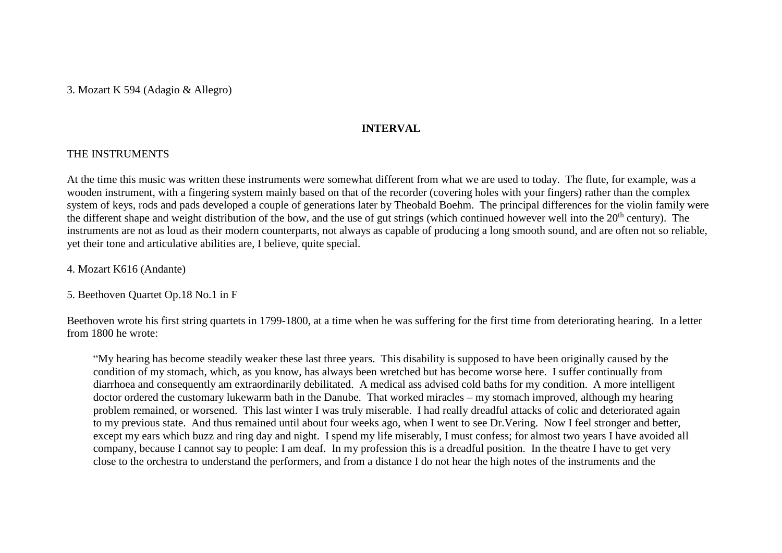3. Mozart K 594 (Adagio & Allegro)

### **INTERVAL**

# THE INSTRUMENTS

At the time this music was written these instruments were somewhat different from what we are used to today. The flute, for example, was a wooden instrument, with a fingering system mainly based on that of the recorder (covering holes with your fingers) rather than the complex system of keys, rods and pads developed a couple of generations later by Theobald Boehm. The principal differences for the violin family were the different shape and weight distribution of the bow, and the use of gut strings (which continued however well into the 20<sup>th</sup> century). The instruments are not as loud as their modern counterparts, not always as capable of producing a long smooth sound, and are often not so reliable, yet their tone and articulative abilities are, I believe, quite special.

4. Mozart K616 (Andante)

5. Beethoven Quartet Op.18 No.1 in F

Beethoven wrote his first string quartets in 1799-1800, at a time when he was suffering for the first time from deteriorating hearing. In a letter from 1800 he wrote:

"My hearing has become steadily weaker these last three years. This disability is supposed to have been originally caused by the condition of my stomach, which, as you know, has always been wretched but has become worse here. I suffer continually from diarrhoea and consequently am extraordinarily debilitated. A medical ass advised cold baths for my condition. A more intelligent doctor ordered the customary lukewarm bath in the Danube. That worked miracles – my stomach improved, although my hearing problem remained, or worsened. This last winter I was truly miserable. I had really dreadful attacks of colic and deteriorated again to my previous state. And thus remained until about four weeks ago, when I went to see Dr.Vering. Now I feel stronger and better, except my ears which buzz and ring day and night. I spend my life miserably, I must confess; for almost two years I have avoided all company, because I cannot say to people: I am deaf. In my profession this is a dreadful position. In the theatre I have to get very close to the orchestra to understand the performers, and from a distance I do not hear the high notes of the instruments and the